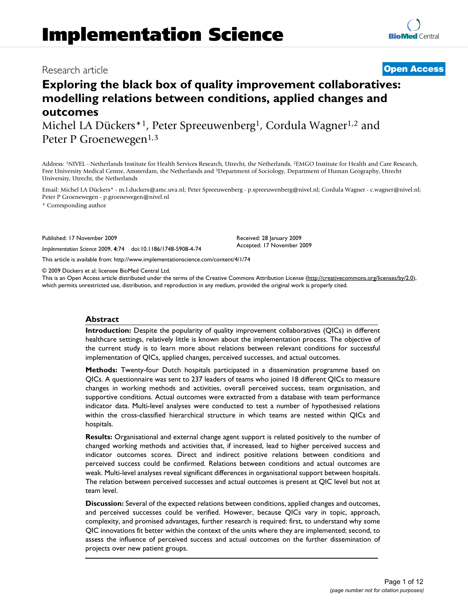# Research article **[Open Access](http://www.biomedcentral.com/info/about/charter/)**

# **Exploring the black box of quality improvement collaboratives: modelling relations between conditions, applied changes and outcomes**

Michel LA Dückers<sup>\*1</sup>, Peter Spreeuwenberg<sup>1</sup>, Cordula Wagner<sup>1,2</sup> and Peter P Groenewegen<sup>1,3</sup>

Address: 1NIVEL - Netherlands Institute for Health Services Research, Utrecht, the Netherlands, 2EMGO Institute for Health and Care Research, Free University Medical Centre, Amsterdam, the Netherlands and 3Department of Sociology, Department of Human Geography, Utrecht University, Utrecht, the Netherlands

Email: Michel LA Dückers\* - m.l.duckers@amc.uva.nl; Peter Spreeuwenberg - p.spreeuwenberg@nivel.nl; Cordula Wagner - c.wagner@nivel.nl; Peter P Groenewegen - p.groenewegen@nivel.nl

> Received: 28 January 2009 Accepted: 17 November 2009

\* Corresponding author

Published: 17 November 2009

*Implementation Science* 2009, **4**:74 doi:10.1186/1748-5908-4-74

[This article is available from: http://www.implementationscience.com/content/4/1/74](http://www.implementationscience.com/content/4/1/74)

© 2009 Dückers et al; licensee BioMed Central Ltd.

This is an Open Access article distributed under the terms of the Creative Commons Attribution License [\(http://creativecommons.org/licenses/by/2.0\)](http://creativecommons.org/licenses/by/2.0), which permits unrestricted use, distribution, and reproduction in any medium, provided the original work is properly cited.

#### **Abstract**

**Introduction:** Despite the popularity of quality improvement collaboratives (QICs) in different healthcare settings, relatively little is known about the implementation process. The objective of the current study is to learn more about relations between relevant conditions for successful implementation of QICs, applied changes, perceived successes, and actual outcomes.

**Methods:** Twenty-four Dutch hospitals participated in a dissemination programme based on QICs. A questionnaire was sent to 237 leaders of teams who joined 18 different QICs to measure changes in working methods and activities, overall perceived success, team organisation, and supportive conditions. Actual outcomes were extracted from a database with team performance indicator data. Multi-level analyses were conducted to test a number of hypothesised relations within the cross-classified hierarchical structure in which teams are nested within QICs and hospitals.

**Results:** Organisational and external change agent support is related positively to the number of changed working methods and activities that, if increased, lead to higher perceived success and indicator outcomes scores. Direct and indirect positive relations between conditions and perceived success could be confirmed. Relations between conditions and actual outcomes are weak. Multi-level analyses reveal significant differences in organisational support between hospitals. The relation between perceived successes and actual outcomes is present at QIC level but not at team level.

**Discussion:** Several of the expected relations between conditions, applied changes and outcomes, and perceived successes could be verified. However, because QICs vary in topic, approach, complexity, and promised advantages, further research is required: first, to understand why some QIC innovations fit better within the context of the units where they are implemented; second, to assess the influence of perceived success and actual outcomes on the further dissemination of projects over new patient groups.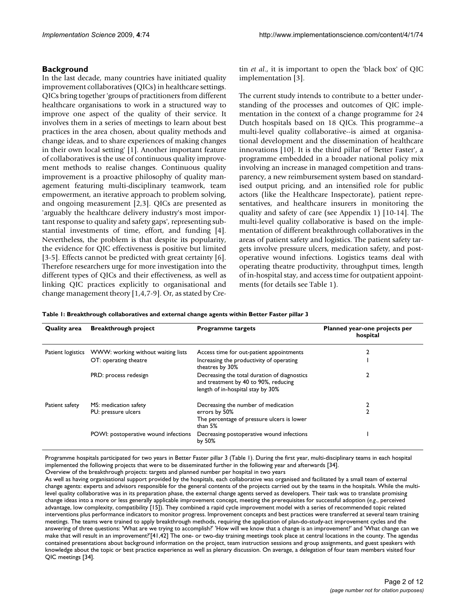#### **Background**

In the last decade, many countries have initiated quality improvement collaboratives (QICs) in healthcare settings. QICs bring together 'groups of practitioners from different healthcare organisations to work in a structured way to improve one aspect of the quality of their service. It involves them in a series of meetings to learn about best practices in the area chosen, about quality methods and change ideas, and to share experiences of making changes in their own local setting' [\[1\]](#page-10-0). Another important feature of collaboratives is the use of continuous quality improvement methods to realise changes. Continuous quality improvement is a proactive philosophy of quality management featuring multi-disciplinary teamwork, team empowerment, an iterative approach to problem solving, and ongoing measurement [\[2,](#page-10-1)[3](#page-10-2)]. QICs are presented as 'arguably the healthcare delivery industry's most important response to quality and safety gaps', representing substantial investments of time, effort, and funding [[4](#page-10-3)]. Nevertheless, the problem is that despite its popularity, the evidence for QIC effectiveness is positive but limited [[3-](#page-10-2)[5](#page-10-4)]. Effects cannot be predicted with great certainty [[6](#page-10-5)]. Therefore researchers urge for more investigation into the different types of QICs and their effectiveness, as well as linking QIC practices explicitly to organisational and change management theory [[1](#page-10-0),[4](#page-10-3),[7](#page-10-6)[-9\]](#page-10-7). Or, as stated by Cretin *et al*., it is important to open the 'black box' of QIC implementation [[3\]](#page-10-2).

The current study intends to contribute to a better understanding of the processes and outcomes of QIC implementation in the context of a change programme for 24 Dutch hospitals based on 18 QICs. This programme--a multi-level quality collaborative--is aimed at organisational development and the dissemination of healthcare innovations [\[10](#page-10-8)]. It is the third pillar of 'Better Faster', a programme embedded in a broader national policy mix involving an increase in managed competition and transparency, a new reimbursement system based on standardised output pricing, and an intensified role for public actors (like the Healthcare Inspectorate), patient representatives, and healthcare insurers in monitoring the quality and safety of care (see Appendix 1) [[10](#page-10-8)[-14](#page-10-9)]. The multi-level quality collaborative is based on the implementation of different breakthrough collaboratives in the areas of patient safety and logistics. The patient safety targets involve pressure ulcers, medication safety, and postoperative wound infections. Logistics teams deal with operating theatre productivity, throughput times, length of in-hospital stay, and access time for outpatient appointments (for details see Table [1](#page-1-0)).

<span id="page-1-0"></span>

|  | Table I: Breakthrough collaboratives and external change agents within Better Faster pillar 3 |  |  |  |
|--|-----------------------------------------------------------------------------------------------|--|--|--|
|  |                                                                                               |  |  |  |

| <b>Quality area</b> | <b>Breakthrough project</b>                          | <b>Programme targets</b>                                                                                                  | Planned year-one projects per<br>hospital |
|---------------------|------------------------------------------------------|---------------------------------------------------------------------------------------------------------------------------|-------------------------------------------|
|                     | Patient logistics WWW: working without waiting lists | Access time for out-patient appointments                                                                                  |                                           |
|                     | OT: operating theatre                                | Increasing the productivity of operating<br>theatres by 30%                                                               |                                           |
|                     | PRD: process redesign                                | Decreasing the total duration of diagnostics<br>and treatment by 40 to 90%, reducing<br>length of in-hospital stay by 30% |                                           |
| Patient safety      | MS: medication safety                                | Decreasing the number of medication                                                                                       |                                           |
|                     | PU: pressure ulcers                                  | errors by 50%<br>The percentage of pressure ulcers is lower<br>than 5%                                                    |                                           |
|                     | POWI: postoperative wound infections                 | Decreasing postoperative wound infections<br>by 50%                                                                       |                                           |

Programme hospitals participated for two years in Better Faster pillar 3 (Table 1). During the first year, multi-disciplinary teams in each hospital implemented the following projects that were to be disseminated further in the following year and afterwards [[34\]](#page-11-0).

Overview of the breakthrough projects: targets and planned number per hospital in two years

As well as having organisational support provided by the hospitals, each collaborative was organised and facilitated by a small team of external change agents: experts and advisors responsible for the general contents of the projects carried out by the teams in the hospitals. While the multilevel quality collaborative was in its preparation phase, the external change agents served as developers. Their task was to translate promising change ideas into a more or less generally applicable improvement concept, meeting the prerequisites for successful adoption (*e.g*., perceived advantage, low complexity, compatibility [[15](#page-10-10)]). They combined a rapid cycle improvement model with a series of recommended topic related interventions plus performance indicators to monitor progress. Improvement concepts and best practices were transferred at several team training meetings. The teams were trained to apply breakthrough methods, requiring the application of plan-do-study-act improvement cycles and the answering of three questions: 'What are we trying to accomplish?' 'How will we know that a change is an improvement?' and 'What change can we make that will result in an improvement?'[[41,](#page-11-1)[42\]](#page-11-2) The one- or two-day training meetings took place at central locations in the county. The agendas contained presentations about background information on the project, team instruction sessions and group assignments, and guest speakers with knowledge about the topic or best practice experience as well as plenary discussion. On average, a delegation of four team members visited four QIC meetings [[34\]](#page-11-0).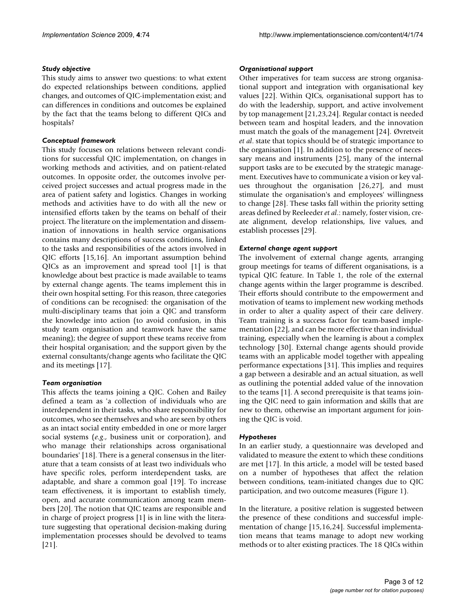#### *Study objective*

This study aims to answer two questions: to what extent do expected relationships between conditions, applied changes, and outcomes of QIC-implementation exist; and can differences in conditions and outcomes be explained by the fact that the teams belong to different QICs and hospitals?

#### *Conceptual framework*

This study focuses on relations between relevant conditions for successful QIC implementation, on changes in working methods and activities, and on patient-related outcomes. In opposite order, the outcomes involve perceived project successes and actual progress made in the area of patient safety and logistics. Changes in working methods and activities have to do with all the new or intensified efforts taken by the teams on behalf of their project. The literature on the implementation and dissemination of innovations in health service organisations contains many descriptions of success conditions, linked to the tasks and responsibilities of the actors involved in QIC efforts [[15](#page-10-10),[16\]](#page-10-11). An important assumption behind QICs as an improvement and spread tool [[1](#page-10-0)] is that knowledge about best practice is made available to teams by external change agents. The teams implement this in their own hospital setting. For this reason, three categories of conditions can be recognised: the organisation of the multi-disciplinary teams that join a QIC and transform the knowledge into action (to avoid confusion, in this study team organisation and teamwork have the same meaning); the degree of support these teams receive from their hospital organisation; and the support given by the external consultants/change agents who facilitate the QIC and its meetings [[17\]](#page-10-12).

#### *Team organisation*

This affects the teams joining a QIC. Cohen and Bailey defined a team as 'a collection of individuals who are interdependent in their tasks, who share responsibility for outcomes, who see themselves and who are seen by others as an intact social entity embedded in one or more larger social systems (*e.g*., business unit or corporation), and who manage their relationships across organisational boundaries' [[18](#page-10-13)]. There is a general consensus in the literature that a team consists of at least two individuals who have specific roles, perform interdependent tasks, are adaptable, and share a common goal [\[19](#page-10-14)]. To increase team effectiveness, it is important to establish timely, open, and accurate communication among team members [\[20](#page-10-15)]. The notion that QIC teams are responsible and in charge of project progress [\[1\]](#page-10-0) is in line with the literature suggesting that operational decision-making during implementation processes should be devolved to teams [[21](#page-10-16)].

#### *Organisational support*

Other imperatives for team success are strong organisational support and integration with organisational key values [\[22](#page-10-17)]. Within QICs, organisational support has to do with the leadership, support, and active involvement by top management [[21](#page-10-16),[23,](#page-10-18)[24](#page-10-19)]. Regular contact is needed between team and hospital leaders, and the innovation must match the goals of the management [[24\]](#page-10-19). Øvretveit *et al*. state that topics should be of strategic importance to the organisation [[1](#page-10-0)]. In addition to the presence of necessary means and instruments [[25](#page-10-20)], many of the internal support tasks are to be executed by the strategic management. Executives have to communicate a vision or key values throughout the organisation [[26,](#page-10-21)[27\]](#page-10-22), and must stimulate the organisation's and employees' willingness to change [\[28](#page-10-23)]. These tasks fall within the priority setting areas defined by Reeleeder *et al*.: namely, foster vision, create alignment, develop relationships, live values, and establish processes [[29](#page-11-3)].

#### *External change agent support*

The involvement of external change agents, arranging group meetings for teams of different organisations, is a typical QIC feature. In Table [1,](#page-1-0) the role of the external change agents within the larger programme is described. Their efforts should contribute to the empowerment and motivation of teams to implement new working methods in order to alter a quality aspect of their care delivery. Team training is a success factor for team-based implementation [[22](#page-10-17)], and can be more effective than individual training, especially when the learning is about a complex technology [[30\]](#page-11-4). External change agents should provide teams with an applicable model together with appealing performance expectations [[31](#page-11-5)]. This implies and requires a gap between a desirable and an actual situation, as well as outlining the potential added value of the innovation to the teams [\[1\]](#page-10-0). A second prerequisite is that teams joining the QIC need to gain information and skills that are new to them, otherwise an important argument for joining the QIC is void.

#### *Hypotheses*

In an earlier study, a questionnaire was developed and validated to measure the extent to which these conditions are met [\[17](#page-10-12)]. In this article, a model will be tested based on a number of hypotheses that affect the relation between conditions, team-initiated changes due to QIC participation, and two outcome measures (Figure [1](#page-3-0)).

In the literature, a positive relation is suggested between the presence of these conditions and successful implementation of change [[15,](#page-10-10)[16,](#page-10-11)[24](#page-10-19)]. Successful implementation means that teams manage to adopt new working methods or to alter existing practices. The 18 QICs within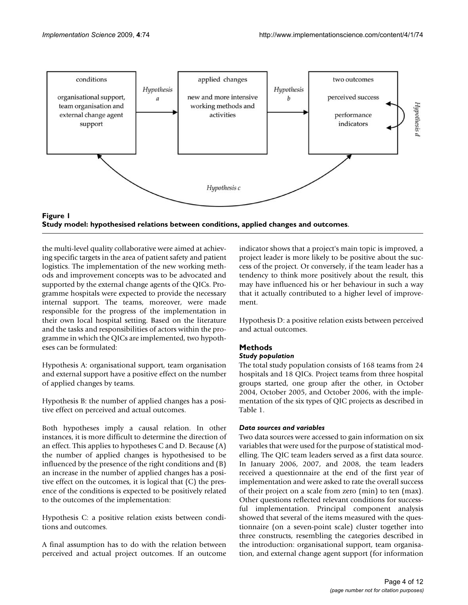<span id="page-3-0"></span>

**Study model: hypothesised relations between conditions, applied changes and outcomes**.

the multi-level quality collaborative were aimed at achieving specific targets in the area of patient safety and patient logistics. The implementation of the new working methods and improvement concepts was to be advocated and supported by the external change agents of the QICs. Programme hospitals were expected to provide the necessary internal support. The teams, moreover, were made responsible for the progress of the implementation in their own local hospital setting. Based on the literature and the tasks and responsibilities of actors within the programme in which the QICs are implemented, two hypotheses can be formulated:

Hypothesis A: organisational support, team organisation and external support have a positive effect on the number of applied changes by teams.

Hypothesis B: the number of applied changes has a positive effect on perceived and actual outcomes.

Both hypotheses imply a causal relation. In other instances, it is more difficult to determine the direction of an effect. This applies to hypotheses C and D. Because (A) the number of applied changes is hypothesised to be influenced by the presence of the right conditions and (B) an increase in the number of applied changes has a positive effect on the outcomes, it is logical that (C) the presence of the conditions is expected to be positively related to the outcomes of the implementation:

Hypothesis C: a positive relation exists between conditions and outcomes.

A final assumption has to do with the relation between perceived and actual project outcomes. If an outcome indicator shows that a project's main topic is improved, a project leader is more likely to be positive about the success of the project. Or conversely, if the team leader has a tendency to think more positively about the result, this may have influenced his or her behaviour in such a way that it actually contributed to a higher level of improvement.

Hypothesis D: a positive relation exists between perceived and actual outcomes.

# **Methods**

### *Study population*

The total study population consists of 168 teams from 24 hospitals and 18 QICs. Project teams from three hospital groups started, one group after the other, in October 2004, October 2005, and October 2006, with the implementation of the six types of QIC projects as described in Table [1.](#page-1-0)

### *Data sources and variables*

Two data sources were accessed to gain information on six variables that were used for the purpose of statistical modelling. The QIC team leaders served as a first data source. In January 2006, 2007, and 2008, the team leaders received a questionnaire at the end of the first year of implementation and were asked to rate the overall success of their project on a scale from zero (min) to ten (max). Other questions reflected relevant conditions for successful implementation. Principal component analysis showed that several of the items measured with the questionnaire (on a seven-point scale) cluster together into three constructs, resembling the categories described in the introduction: organisational support, team organisation, and external change agent support (for information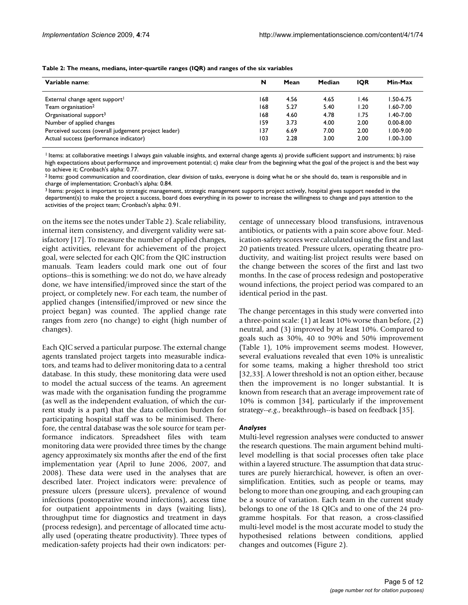<span id="page-4-0"></span>**Table 2: The means, medians, inter-quartile ranges (IQR) and ranges of the six variables**

| Variable name:                                       | N   | Mean | Median | <b>IQR</b> | Min-Max       |
|------------------------------------------------------|-----|------|--------|------------|---------------|
| External change agent support <sup>1</sup>           | 168 | 4.56 | 4.65   | l.46       | .50-6.75      |
| Team organisation <sup>2</sup>                       | 168 | 5.27 | 5.40   | 20. ا      | .60-7.00      |
| Organisational support <sup>3</sup>                  | 168 | 4.60 | 4.78   | l.75       | l.40-7.00     |
| Number of applied changes                            | 159 | 3.73 | 4.00   | 2.00       | $0.00 - 8.00$ |
| Perceived success (overall judgement project leader) | 137 | 6.69 | 7.00   | 2.00       | 1.00-9.00     |
| Actual success (performance indicator)               | 103 | 2.28 | 3.00   | 2.00       | 1.00-3.00     |

<sup>1</sup> Items: at collaborative meetings I always gain valuable insights, and external change agents a) provide sufficient support and instruments; b) raise high expectations about performance and improvement potential; c) make clear from the beginning what the goal of the project is and the best way to achieve it; Cronbach's alpha: 0.77.

<sup>2</sup> Items: good communication and coordination, clear division of tasks, everyone is doing what he or she should do, team is responsible and in charge of implementation; Cronbach's alpha: 0.84.

3 Items: project is important to strategic management, strategic management supports project actively, hospital gives support needed in the department(s) to make the project a success, board does everything in its power to increase the willingness to change and pays attention to the activities of the project team; Cronbach's alpha: 0.91.

on the items see the notes under Table [2](#page-4-0)). Scale reliability, internal item consistency, and divergent validity were satisfactory [[17\]](#page-10-12). To measure the number of applied changes, eight activities, relevant for achievement of the project goal, were selected for each QIC from the QIC instruction manuals. Team leaders could mark one out of four options--this is something: we do not do, we have already done, we have intensified/improved since the start of the project, or completely new. For each team, the number of applied changes (intensified/improved or new since the project began) was counted. The applied change rate ranges from zero (no change) to eight (high number of changes).

Each QIC served a particular purpose. The external change agents translated project targets into measurable indicators, and teams had to deliver monitoring data to a central database. In this study, these monitoring data were used to model the actual success of the teams. An agreement was made with the organisation funding the programme (as well as the independent evaluation, of which the current study is a part) that the data collection burden for participating hospital staff was to be minimised. Therefore, the central database was the sole source for team performance indicators. Spreadsheet files with team monitoring data were provided three times by the change agency approximately six months after the end of the first implementation year (April to June 2006, 2007, and 2008). These data were used in the analyses that are described later. Project indicators were: prevalence of pressure ulcers (pressure ulcers), prevalence of wound infections (postoperative wound infections), access time for outpatient appointments in days (waiting lists), throughput time for diagnostics and treatment in days (process redesign), and percentage of allocated time actually used (operating theatre productivity). Three types of medication-safety projects had their own indicators: percentage of unnecessary blood transfusions, intravenous antibiotics, or patients with a pain score above four. Medication-safety scores were calculated using the first and last 20 patients treated. Pressure ulcers, operating theatre productivity, and waiting-list project results were based on the change between the scores of the first and last two months. In the case of process redesign and postoperative wound infections, the project period was compared to an identical period in the past.

The change percentages in this study were converted into a three-point scale: (1) at least 10% worse than before, (2) neutral, and (3) improved by at least 10%. Compared to goals such as 30%, 40 to 90% and 50% improvement (Table [1\)](#page-1-0), 10% improvement seems modest. However, several evaluations revealed that even 10% is unrealistic for some teams, making a higher threshold too strict [[32](#page-11-6),[33\]](#page-11-7). A lower threshold is not an option either, because then the improvement is no longer substantial. It is known from research that an average improvement rate of 10% is common [[34](#page-11-0)], particularly if the improvement strategy--*e.g*., breakthrough--is based on feedback [[35\]](#page-11-8).

#### *Analyses*

Multi-level regression analyses were conducted to answer the research questions. The main argument behind multilevel modelling is that social processes often take place within a layered structure. The assumption that data structures are purely hierarchical, however, is often an oversimplification. Entities, such as people or teams, may belong to more than one grouping, and each grouping can be a source of variation. Each team in the current study belongs to one of the 18 QICs and to one of the 24 programme hospitals. For that reason, a cross-classified multi-level model is the most accurate model to study the hypothesised relations between conditions, applied changes and outcomes (Figure [2\)](#page-5-0).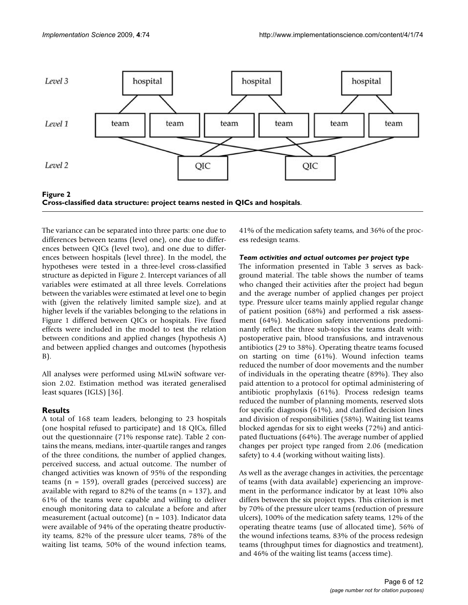<span id="page-5-0"></span>

The variance can be separated into three parts: one due to differences between teams (level one), one due to differences between QICs (level two), and one due to differences between hospitals (level three). In the model, the hypotheses were tested in a three-level cross-classified structure as depicted in Figure [2.](#page-5-0) Intercept variances of all variables were estimated at all three levels. Correlations between the variables were estimated at level one to begin with (given the relatively limited sample size), and at higher levels if the variables belonging to the relations in Figure [1](#page-3-0) differed between QICs or hospitals. Five fixed effects were included in the model to test the relation between conditions and applied changes (hypothesis A) and between applied changes and outcomes (hypothesis B).

All analyses were performed using MLwiN software version 2.02. Estimation method was iterated generalised least squares (IGLS) [[36\]](#page-11-9).

# **Results**

A total of 168 team leaders, belonging to 23 hospitals (one hospital refused to participate) and 18 QICs, filled out the questionnaire (71% response rate). Table [2](#page-4-0) contains the means, medians, inter-quartile ranges and ranges of the three conditions, the number of applied changes, perceived success, and actual outcome. The number of changed activities was known of 95% of the responding teams (n = 159), overall grades (perceived success) are available with regard to 82% of the teams  $(n = 137)$ , and 61% of the teams were capable and willing to deliver enough monitoring data to calculate a before and after measurement (actual outcome) (n = 103). Indicator data were available of 94% of the operating theatre productivity teams, 82% of the pressure ulcer teams, 78% of the waiting list teams, 50% of the wound infection teams,

41% of the medication safety teams, and 36% of the process redesign teams.

# *Team activities and actual outcomes per project type*

The information presented in Table [3](#page-6-0) serves as background material. The table shows the number of teams who changed their activities after the project had begun and the average number of applied changes per project type. Pressure ulcer teams mainly applied regular change of patient position (68%) and performed a risk assessment (64%). Medication safety interventions predominantly reflect the three sub-topics the teams dealt with: postoperative pain, blood transfusions, and intravenous antibiotics (29 to 38%). Operating theatre teams focused on starting on time (61%). Wound infection teams reduced the number of door movements and the number of individuals in the operating theatre (89%). They also paid attention to a protocol for optimal administering of antibiotic prophylaxis (61%). Process redesign teams reduced the number of planning moments, reserved slots for specific diagnosis (61%), and clarified decision lines and division of responsibilities (58%). Waiting list teams blocked agendas for six to eight weeks (72%) and anticipated fluctuations (64%). The average number of applied changes per project type ranged from 2.06 (medication safety) to 4.4 (working without waiting lists).

As well as the average changes in activities, the percentage of teams (with data available) experiencing an improvement in the performance indicator by at least 10% also differs between the six project types. This criterion is met by 70% of the pressure ulcer teams (reduction of pressure ulcers), 100% of the medication safety teams, 12% of the operating theatre teams (use of allocated time), 56% of the wound infections teams, 83% of the process redesign teams (throughput times for diagnostics and treatment), and 46% of the waiting list teams (access time).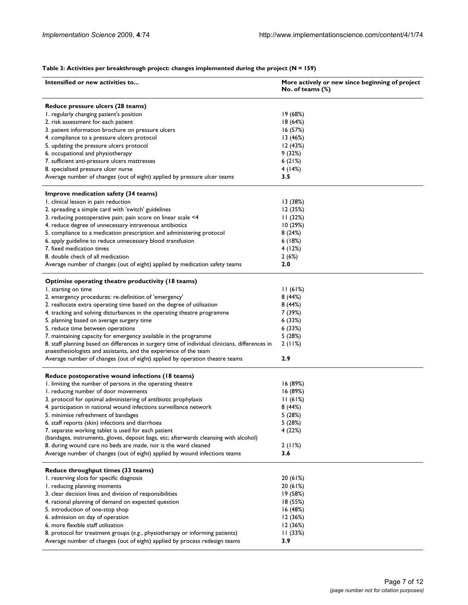<span id="page-6-0"></span>**Table 3: Activities per breakthrough project: changes implemented during the project (N = 159)**

| Intensified or new activities to                                                                | More actively or new since beginning of project |
|-------------------------------------------------------------------------------------------------|-------------------------------------------------|
|                                                                                                 | No. of teams (%)                                |
| Reduce pressure ulcers (28 teams)                                                               |                                                 |
| I. regularly changing patient's position                                                        | 19(68%)                                         |
| 2. risk assessment for each patient                                                             | 18(64%)                                         |
| 3. patient information brochure on pressure ulcers                                              | 16 (57%)                                        |
|                                                                                                 |                                                 |
| 4. compliance to a pressure ulcers protocol                                                     | 13 (46%)                                        |
| 5. updating the pressure ulcers protocol                                                        | 12 (43%)                                        |
| 6. occupational and physiotherapy                                                               | 9(32%)                                          |
| 7. sufficient anti-pressure ulcers mattresses                                                   | 6(21%)                                          |
| 8. specialised pressure ulcer nurse                                                             | 4(14%)                                          |
| Average number of changes (out of eight) applied by pressure ulcer teams                        | 3.5                                             |
| Improve medication safety (34 teams)                                                            |                                                 |
|                                                                                                 |                                                 |
| I. clinical lesson in pain reduction                                                            | 13(38%)                                         |
| 2. spreading a simple card with 'switch' guidelines                                             | 12 (35%)                                        |
| 3. reducing postoperative pain; pain score on linear scale <4                                   | 11(32%)                                         |
| 4. reduce degree of unnecessary intravenous antibiotics                                         | 10 (29%)                                        |
| 5. compliance to a medication prescription and administering protocol                           | 8(24%)                                          |
| 6. apply guideline to reduce unnecessary blood transfusion                                      | 6 (18%)                                         |
| 7. fixed medication times                                                                       | 4 (12%)                                         |
| 8. double check of all medication                                                               | 2(6%)                                           |
| Average number of changes (out of eight) applied by medication safety teams                     | 2.0                                             |
|                                                                                                 |                                                 |
| Optimise operating theatre productivity (18 teams)                                              |                                                 |
| I. starting on time                                                                             | 11(61%)                                         |
| 2. emergency procedures: re-definition of 'emergency'                                           | 8(44%)                                          |
| 2. reallocate extra operating time based on the degree of utilisation                           | 8 (44%)                                         |
| 4. tracking and solving disturbances in the operating theatre programme                         | 7 (39%)                                         |
|                                                                                                 |                                                 |
| 5. planning based on average surgery time                                                       | 6(33%)                                          |
| 5. reduce time between operations                                                               | 6(33%)                                          |
| 7. maintaining capacity for emergency available in the programme                                | 5 (28%)                                         |
| 8. staff planning based on differences in surgery time of individual clinicians, differences in | 2(11%)                                          |
| anaesthesiologists and assistants, and the experience of the team                               |                                                 |
| Average number of changes (out of eight) applied by operation theatre teams                     | 2.9                                             |
| Reduce postoperative wound infections (18 teams)                                                |                                                 |
| I. limiting the number of persons in the operating theatre                                      | 16 (89%)                                        |
|                                                                                                 |                                                 |
| I. reducing number of door movements                                                            | 16(89%)                                         |
| 3. protocol for optimal administering of antibiotic prophylaxis                                 | 11(61%)                                         |
| 4. participation in national wound infections surveillance network                              | 8(44%)                                          |
| 5. minimise refreshment of bandages                                                             | 5 (28%)                                         |
| 6. staff reports (skin) infections and diarrhoea                                                | 5 (28%)                                         |
| 7. separate working tablet is used for each patient                                             | 4 (22%)                                         |
| (bandages, instruments, gloves, deposit bags, etc; afterwards cleansing with alcohol)           |                                                 |
| 8. during wound care no beds are made, nor is the ward cleaned                                  | 2(11%)                                          |
| Average number of changes (out of eight) applied by wound infections teams                      | 3.6                                             |
|                                                                                                 |                                                 |
| Reduce throughput times (33 teams)                                                              |                                                 |
| 1. reserving slots for specific diagnosis                                                       | 20 (61%)                                        |
| 1. reducing planning moments                                                                    | 20 (61%)                                        |
| 3. clear decision lines and division of responsibilities                                        | 19 (58%)                                        |
| 4. rational planning of demand on expected question                                             | 18 (55%)                                        |
| 5. introduction of one-stop shop                                                                | 16 (48%)                                        |
| 6. admission on day of operation                                                                | 12(36%)                                         |
| 6. more flexible staff utilisation                                                              | 12(36%)                                         |
| 8. protocol for treatment groups (e.g., physiotherapy or informing patients)                    | 11(33%)                                         |
| Average number of changes (out of eight) applied by process redesign teams                      | 3.9                                             |
|                                                                                                 |                                                 |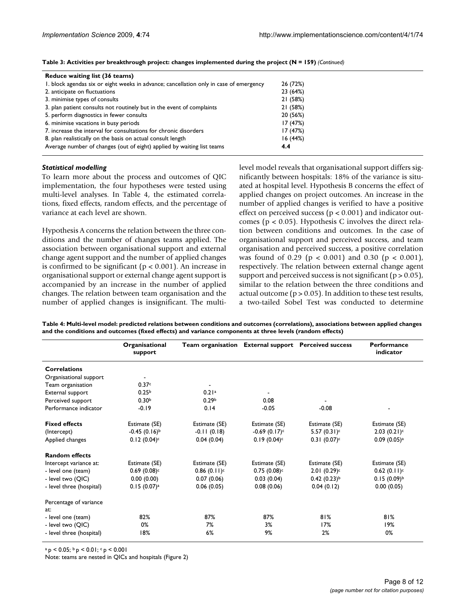| Table 3: Activities per breakthrough project: changes implemented during the project (N = 159) (Continued) |  |  |  |
|------------------------------------------------------------------------------------------------------------|--|--|--|
|------------------------------------------------------------------------------------------------------------|--|--|--|

| Reduce waiting list (36 teams)                                                         |          |
|----------------------------------------------------------------------------------------|----------|
| 1. block agendas six or eight weeks in advance; cancellation only in case of emergency | 26 (72%) |
| 2. anticipate on fluctuations                                                          | 23 (64%) |
| 3. minimise types of consults                                                          | 21 (58%) |
| 3. plan patient consults not routinely but in the event of complaints                  | 21 (58%) |
| 5. perform diagnostics in fewer consults                                               | 20 (56%) |
| 6. minimise vacations in busy periods                                                  | 17 (47%) |
| 7. increase the interval for consultations for chronic disorders                       | 17(47%)  |
| 8. plan realistically on the basis on actual consult length                            | 16(44%)  |
| Average number of changes (out of eight) applied by waiting list teams                 | 4.4      |

#### *Statistical modelling*

To learn more about the process and outcomes of QIC implementation, the four hypotheses were tested using multi-level analyses. In Table [4,](#page-7-0) the estimated correlations, fixed effects, random effects, and the percentage of variance at each level are shown.

Hypothesis A concerns the relation between the three conditions and the number of changes teams applied. The association between organisational support and external change agent support and the number of applied changes is confirmed to be significant ( $p < 0.001$ ). An increase in organisational support or external change agent support is accompanied by an increase in the number of applied changes. The relation between team organisation and the number of applied changes is insignificant. The multilevel model reveals that organisational support differs significantly between hospitals: 18% of the variance is situated at hospital level. Hypothesis B concerns the effect of applied changes on project outcomes. An increase in the number of applied changes is verified to have a positive effect on perceived success ( $p < 0.001$ ) and indicator outcomes ( $p < 0.05$ ). Hypothesis C involves the direct relation between conditions and outcomes. In the case of organisational support and perceived success, and team organisation and perceived success, a positive correlation was found of 0.29 (p < 0.001) and 0.30 (p < 0.001), respectively. The relation between external change agent support and perceived success is not significant  $(p > 0.05)$ , similar to the relation between the three conditions and actual outcome ( $p > 0.05$ ). In addition to these test results, a two-tailed Sobel Test was conducted to determine

<span id="page-7-0"></span>**Table 4: Multi-level model: predicted relations between conditions and outcomes (correlations), associations between applied changes and the conditions and outcomes (fixed effects) and variance components at three levels (random effects)**

|                               | Organisational<br>support | Team organisation External support Perceived success |                 |                  | Performance<br>indicator |
|-------------------------------|---------------------------|------------------------------------------------------|-----------------|------------------|--------------------------|
| <b>Correlations</b>           |                           |                                                      |                 |                  |                          |
| Organisational support        |                           |                                                      |                 |                  |                          |
| Team organisation             | 0.37c                     |                                                      |                 |                  |                          |
| External support              | 0.25 <sup>b</sup>         | 0.21a                                                |                 |                  |                          |
| Perceived support             | 0.30 <sup>b</sup>         | 0.29 <sub>b</sub>                                    | 0.08            |                  |                          |
| Performance indicator         | $-0.19$                   | 0.14                                                 | $-0.05$         | $-0.08$          |                          |
| <b>Fixed effects</b>          | Estimate (SE)             | Estimate (SE)                                        | Estimate (SE)   | Estimate (SE)    | Estimate (SE)            |
| (Intercept)                   | $-0.45(0.16)^{b}$         | $-0.11(0.18)$                                        | $-0.69(0.17)^c$ | $5.57(0.31)^c$   | $2.03(0.21)^c$           |
| Applied changes               | $0.12(0.04)$ c            | 0.04(0.04)                                           | $0.19(0.04)$ c  | $0.31(0.07)$ c   | $0.09(0.05)^a$           |
| <b>Random effects</b>         |                           |                                                      |                 |                  |                          |
| Intercept variance at:        | Estimate (SE)             | Estimate (SE)                                        | Estimate (SE)   | Estimate (SE)    | Estimate (SE)            |
| - level one (team)            | 0.69(0.08)c               | $0.86(0.11)^c$                                       | 0.75(0.08)c     | $2.01(0.29)$ c   | $0.62(0.11)^c$           |
| - level two (QIC)             | 0.00(0.00)                | 0.07(0.06)                                           | 0.03(0.04)      | $0.42(0.23)^{b}$ | $0.15(0.09)^{b}$         |
| - level three (hospital)      | 0.15(0.07) <sup>a</sup>   | 0.06(0.05)                                           | 0.08(0.06)      | 0.04(0.12)       | 0.00(0.05)               |
| Percentage of variance<br>at: |                           |                                                      |                 |                  |                          |
| - level one (team)            | 82%                       | 87%                                                  | 87%             | 81%              | 81%                      |
| - level two (QIC)             | 0%                        | 7%                                                   | 3%              | 17%              | 19%                      |
| - level three (hospital)      | 18%                       | 6%                                                   | 9%              | 2%               | 0%                       |

 $a$  p < 0.05;  $b$  p < 0.01;  $c$  p < 0.001

Note: teams are nested in QICs and hospitals (Figure 2)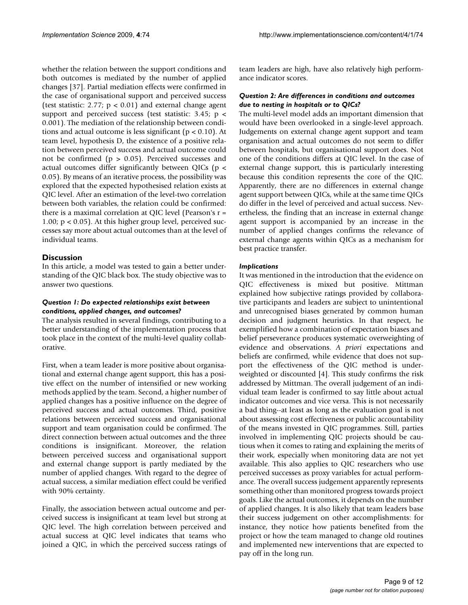whether the relation between the support conditions and both outcomes is mediated by the number of applied changes [[37](#page-11-10)]. Partial mediation effects were confirmed in the case of organisational support and perceived success (test statistic: 2.77;  $p < 0.01$ ) and external change agent support and perceived success (test statistic: 3.45; p < 0.001). The mediation of the relationship between conditions and actual outcome is less significant ( $p < 0.10$ ). At team level, hypothesis D, the existence of a positive relation between perceived success and actual outcome could not be confirmed ( $p > 0.05$ ). Perceived successes and actual outcomes differ significantly between QICs (p < 0.05). By means of an iterative process, the possibility was explored that the expected hypothesised relation exists at QIC level. After an estimation of the level-two correlation between both variables, the relation could be confirmed: there is a maximal correlation at QIC level (Pearson's r = 1.00; p < 0.05). At this higher group level, perceived successes say more about actual outcomes than at the level of individual teams.

# **Discussion**

In this article, a model was tested to gain a better understanding of the QIC black box. The study objective was to answer two questions.

#### *Question 1: Do expected relationships exist between conditions, applied changes, and outcomes?*

The analysis resulted in several findings, contributing to a better understanding of the implementation process that took place in the context of the multi-level quality collaborative.

First, when a team leader is more positive about organisational and external change agent support, this has a positive effect on the number of intensified or new working methods applied by the team. Second, a higher number of applied changes has a positive influence on the degree of perceived success and actual outcomes. Third, positive relations between perceived success and organisational support and team organisation could be confirmed. The direct connection between actual outcomes and the three conditions is insignificant. Moreover, the relation between perceived success and organisational support and external change support is partly mediated by the number of applied changes. With regard to the degree of actual success, a similar mediation effect could be verified with 90% certainty.

Finally, the association between actual outcome and perceived success is insignificant at team level but strong at QIC level. The high correlation between perceived and actual success at QIC level indicates that teams who joined a QIC, in which the perceived success ratings of team leaders are high, have also relatively high performance indicator scores.

#### *Question 2: Are differences in conditions and outcomes due to nesting in hospitals or to QICs?*

The multi-level model adds an important dimension that would have been overlooked in a single-level approach. Judgements on external change agent support and team organisation and actual outcomes do not seem to differ between hospitals, but organisational support does. Not one of the conditions differs at QIC level. In the case of external change support, this is particularly interesting because this condition represents the core of the QIC. Apparently, there are no differences in external change agent support between QICs, while at the same time QICs do differ in the level of perceived and actual success. Nevertheless, the finding that an increase in external change agent support is accompanied by an increase in the number of applied changes confirms the relevance of external change agents within QICs as a mechanism for best practice transfer.

### *Implications*

It was mentioned in the introduction that the evidence on QIC effectiveness is mixed but positive. Mittman explained how subjective ratings provided by collaborative participants and leaders are subject to unintentional and unrecognised biases generated by common human decision and judgment heuristics. In that respect, he exemplified how a combination of expectation biases and belief perseverance produces systematic overweighting of evidence and observations. *A priori* expectations and beliefs are confirmed, while evidence that does not support the effectiveness of the QIC method is underweighted or discounted [\[4\]](#page-10-3). This study confirms the risk addressed by Mittman. The overall judgement of an individual team leader is confirmed to say little about actual indicator outcomes and vice versa. This is not necessarily a bad thing--at least as long as the evaluation goal is not about assessing cost effectiveness or public accountability of the means invested in QIC programmes. Still, parties involved in implementing QIC projects should be cautious when it comes to rating and explaining the merits of their work, especially when monitoring data are not yet available. This also applies to QIC researchers who use perceived successes as proxy variables for actual performance. The overall success judgement apparently represents something other than monitored progress towards project goals. Like the actual outcomes, it depends on the number of applied changes. It is also likely that team leaders base their success judgement on other accomplishments: for instance, they notice how patients benefited from the project or how the team managed to change old routines and implemented new interventions that are expected to pay off in the long run.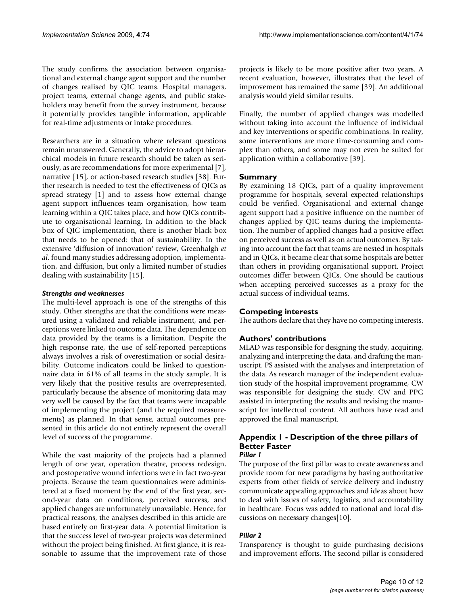The study confirms the association between organisational and external change agent support and the number of changes realised by QIC teams. Hospital managers, project teams, external change agents, and public stakeholders may benefit from the survey instrument, because it potentially provides tangible information, applicable for real-time adjustments or intake procedures.

Researchers are in a situation where relevant questions remain unanswered. Generally, the advice to adopt hierarchical models in future research should be taken as seriously, as are recommendations for more experimental [[7](#page-10-6)], narrative [[15](#page-10-10)], or action-based research studies [\[38](#page-11-11)]. Further research is needed to test the effectiveness of QICs as spread strategy [[1](#page-10-0)] and to assess how external change agent support influences team organisation, how team learning within a QIC takes place, and how QICs contribute to organisational learning. In addition to the black box of QIC implementation, there is another black box that needs to be opened: that of sustainability. In the extensive 'diffusion of innovation' review, Greenhalgh *et al*. found many studies addressing adoption, implementation, and diffusion, but only a limited number of studies dealing with sustainability [\[15](#page-10-10)].

#### *Strengths and weaknesses*

The multi-level approach is one of the strengths of this study. Other strengths are that the conditions were measured using a validated and reliable instrument, and perceptions were linked to outcome data. The dependence on data provided by the teams is a limitation. Despite the high response rate, the use of self-reported perceptions always involves a risk of overestimation or social desirability. Outcome indicators could be linked to questionnaire data in 61% of all teams in the study sample. It is very likely that the positive results are overrepresented, particularly because the absence of monitoring data may very well be caused by the fact that teams were incapable of implementing the project (and the required measurements) as planned. In that sense, actual outcomes presented in this article do not entirely represent the overall level of success of the programme.

While the vast majority of the projects had a planned length of one year, operation theatre, process redesign, and postoperative wound infections were in fact two-year projects. Because the team questionnaires were administered at a fixed moment by the end of the first year, second-year data on conditions, perceived success, and applied changes are unfortunately unavailable. Hence, for practical reasons, the analyses described in this article are based entirely on first-year data. A potential limitation is that the success level of two-year projects was determined without the project being finished. At first glance, it is reasonable to assume that the improvement rate of those projects is likely to be more positive after two years. A recent evaluation, however, illustrates that the level of improvement has remained the same [\[39](#page-11-12)]. An additional analysis would yield similar results.

Finally, the number of applied changes was modelled without taking into account the influence of individual and key interventions or specific combinations. In reality, some interventions are more time-consuming and complex than others, and some may not even be suited for application within a collaborative [\[39](#page-11-12)].

### **Summary**

By examining 18 QICs, part of a quality improvement programme for hospitals, several expected relationships could be verified. Organisational and external change agent support had a positive influence on the number of changes applied by QIC teams during the implementation. The number of applied changes had a positive effect on perceived success as well as on actual outcomes. By taking into account the fact that teams are nested in hospitals and in QICs, it became clear that some hospitals are better than others in providing organisational support. Project outcomes differ between QICs. One should be cautious when accepting perceived successes as a proxy for the actual success of individual teams.

### **Competing interests**

The authors declare that they have no competing interests.

# **Authors' contributions**

MLAD was responsible for designing the study, acquiring, analyzing and interpreting the data, and drafting the manuscript. PS assisted with the analyses and interpretation of the data. As research manager of the independent evaluation study of the hospital improvement programme, CW was responsible for designing the study. CW and PPG assisted in interpreting the results and revising the manuscript for intellectual content. All authors have read and approved the final manuscript.

# **Appendix 1 - Description of the three pillars of Better Faster**

# *Pillar 1*

The purpose of the first pillar was to create awareness and provide room for new paradigms by having authoritative experts from other fields of service delivery and industry communicate appealing approaches and ideas about how to deal with issues of safety, logistics, and accountability in healthcare. Focus was added to national and local discussions on necessary changes[\[10](#page-10-8)].

### *Pillar 2*

Transparency is thought to guide purchasing decisions and improvement efforts. The second pillar is considered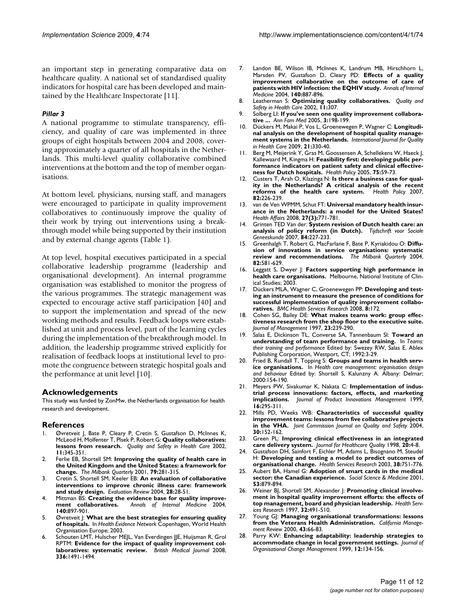an important step in generating comparative data on healthcare quality. A national set of standardised quality indicators for hospital care has been developed and maintained by the Healthcare Inspectorate [\[11\]](#page-10-24).

#### *Pillar 3*

A national programme to stimulate transparency, efficiency, and quality of care was implemented in three groups of eight hospitals between 2004 and 2008, covering approximately a quarter of all hospitals in the Netherlands. This multi-level quality collaborative combined interventions at the bottom and the top of member organisations.

At bottom level, physicians, nursing staff, and managers were encouraged to participate in quality improvement collaboratives to continuously improve the quality of their work by trying out interventions using a breakthrough model while being supported by their institution and by external change agents (Table [1](#page-1-0)).

At top level, hospital executives participated in a special collaborative leadership programme (leadership and organisational development). An internal programme organisation was established to monitor the progress of the various programmes. The strategic management was expected to encourage active staff participation [\[40](#page-11-13)] and to support the implementation and spread of the new working methods and results. Feedback loops were established at unit and process level, part of the learning cycles during the implementation of the breakthrough model. In addition, the leadership programme strived explicitly for realisation of feedback loops at institutional level to promote the congruence between strategic hospital goals and the performance at unit level [\[10](#page-10-8)].

#### **Acknowledgements**

This study was funded by ZonMw, the Netherlands organisation for health research and development.

#### **References**

- <span id="page-10-0"></span>Øvretveit J, Bate P, Cleary P, Cretin S, Gustafson D, McInnes K, McLeod H, Molfenter T, Plsek P, Robert G: **[Quality collaboratives:](http://www.ncbi.nlm.nih.gov/entrez/query.fcgi?cmd=Retrieve&db=PubMed&dopt=Abstract&list_uids=12468695) [lessons from research.](http://www.ncbi.nlm.nih.gov/entrez/query.fcgi?cmd=Retrieve&db=PubMed&dopt=Abstract&list_uids=12468695)** *Quality and Safety in Health Care* 2002, **11:**345-351.
- <span id="page-10-1"></span>2. Ferlie EB, Shortell SM: **[Improving the quality of health care in](http://www.ncbi.nlm.nih.gov/entrez/query.fcgi?cmd=Retrieve&db=PubMed&dopt=Abstract&list_uids=11439467) [the United Kingdom and the United States: a framework for](http://www.ncbi.nlm.nih.gov/entrez/query.fcgi?cmd=Retrieve&db=PubMed&dopt=Abstract&list_uids=11439467) [change.](http://www.ncbi.nlm.nih.gov/entrez/query.fcgi?cmd=Retrieve&db=PubMed&dopt=Abstract&list_uids=11439467)** *The Milbank Quarterly* 2001, **79:**281-315.
- <span id="page-10-2"></span>3. Cretin S, Shortell SM, Keeler EB: **[An evaluation of collaborative](http://www.ncbi.nlm.nih.gov/entrez/query.fcgi?cmd=Retrieve&db=PubMed&dopt=Abstract&list_uids=14750290) [interventions to improve chronic illness care: framework](http://www.ncbi.nlm.nih.gov/entrez/query.fcgi?cmd=Retrieve&db=PubMed&dopt=Abstract&list_uids=14750290) [and study design.](http://www.ncbi.nlm.nih.gov/entrez/query.fcgi?cmd=Retrieve&db=PubMed&dopt=Abstract&list_uids=14750290)** *Evaluation Review* 2004, **28:**28-51.
- <span id="page-10-3"></span>4. Mittman BS: **[Creating the evidence base for quality improve](http://www.ncbi.nlm.nih.gov/entrez/query.fcgi?cmd=Retrieve&db=PubMed&dopt=Abstract&list_uids=15172904)[ment collaboratives.](http://www.ncbi.nlm.nih.gov/entrez/query.fcgi?cmd=Retrieve&db=PubMed&dopt=Abstract&list_uids=15172904)** *Annals of Internal Medicine* 2004, **140:**897-901.
- <span id="page-10-4"></span>5. Øvretveit J: **What are the best strategies for ensuring quality of hospitals.** In *Health Evidence Network* Copenhagen, World Health Organisation Europe; 2003.
- <span id="page-10-5"></span>6. Schouten LMT, Hulscher MEJL, Van Everdingen JJE, Huijsman R, Grol RPTM: **[Evidence for the impact of quality improvement col](http://www.ncbi.nlm.nih.gov/entrez/query.fcgi?cmd=Retrieve&db=PubMed&dopt=Abstract&list_uids=18577559)[laboratives: systematic review.](http://www.ncbi.nlm.nih.gov/entrez/query.fcgi?cmd=Retrieve&db=PubMed&dopt=Abstract&list_uids=18577559)** *British Medical Journal* 2008, **336:**1491-1494.
- <span id="page-10-6"></span>7. Landon BE, Wilson IB, McInnes K, Landrum MB, Hirschhorn L, Marsden PV, Gustafson D, Cleary PD: **[Effects of a quality](http://www.ncbi.nlm.nih.gov/entrez/query.fcgi?cmd=Retrieve&db=PubMed&dopt=Abstract&list_uids=15172903) [improvement collaborative on the outcome of care of](http://www.ncbi.nlm.nih.gov/entrez/query.fcgi?cmd=Retrieve&db=PubMed&dopt=Abstract&list_uids=15172903) [patients with HIV infection: the EQHIV study.](http://www.ncbi.nlm.nih.gov/entrez/query.fcgi?cmd=Retrieve&db=PubMed&dopt=Abstract&list_uids=15172903)** *Annals of Internal Medicine* 2004, **140:**887-896.
- 8. Leatherman S: **[Optimizing quality collaboratives.](http://www.ncbi.nlm.nih.gov/entrez/query.fcgi?cmd=Retrieve&db=PubMed&dopt=Abstract&list_uids=12468688)** *Quality and Safety in Health Care* 2002, **11:**307.
- <span id="page-10-7"></span>9. Solberg LI: **[If you've seen one quality improvement collabora](http://www.ncbi.nlm.nih.gov/entrez/query.fcgi?cmd=Retrieve&db=PubMed&dopt=Abstract&list_uids=15928221)[tive ...](http://www.ncbi.nlm.nih.gov/entrez/query.fcgi?cmd=Retrieve&db=PubMed&dopt=Abstract&list_uids=15928221)** *Ann Fam Med* 2005, **3:**198-199.
- <span id="page-10-8"></span>10. Dückers M, Makai P, Vos L, Groenewegen P, Wagner C: **[Longitudi](http://www.ncbi.nlm.nih.gov/entrez/query.fcgi?cmd=Retrieve&db=PubMed&dopt=Abstract&list_uids=19689988)[nal analysis on the development of hospital quality manage](http://www.ncbi.nlm.nih.gov/entrez/query.fcgi?cmd=Retrieve&db=PubMed&dopt=Abstract&list_uids=19689988)[ment systems in the Netherlands.](http://www.ncbi.nlm.nih.gov/entrez/query.fcgi?cmd=Retrieve&db=PubMed&dopt=Abstract&list_uids=19689988)** *International Journal for Quality in Health Care* 2009, **21:**330-40.
- <span id="page-10-24"></span>11. Berg M, Meijerink Y, Gras M, Goossensen A, Schellekens W, Haeck J, Kallewaard M, Kingma H: **[Feasibility first: developing public per](http://www.ncbi.nlm.nih.gov/entrez/query.fcgi?cmd=Retrieve&db=PubMed&dopt=Abstract&list_uids=16298229)[formance indicators on patient safety and clinical effective](http://www.ncbi.nlm.nih.gov/entrez/query.fcgi?cmd=Retrieve&db=PubMed&dopt=Abstract&list_uids=16298229)[ness for Dutch hospitals.](http://www.ncbi.nlm.nih.gov/entrez/query.fcgi?cmd=Retrieve&db=PubMed&dopt=Abstract&list_uids=16298229)** *Health Policy* 2005, **75:**59-73.
- 12. Custers T, Arah O, Klazinga N: **[Is there a business case for qual](http://www.ncbi.nlm.nih.gov/entrez/query.fcgi?cmd=Retrieve&db=PubMed&dopt=Abstract&list_uids=17070956)[ity in the Netherlands? A critical analysis of the recent](http://www.ncbi.nlm.nih.gov/entrez/query.fcgi?cmd=Retrieve&db=PubMed&dopt=Abstract&list_uids=17070956) [reforms of the health care system.](http://www.ncbi.nlm.nih.gov/entrez/query.fcgi?cmd=Retrieve&db=PubMed&dopt=Abstract&list_uids=17070956)** *Health Policy* 2007, **82:**226-239.
- 13. van de Ven WPMM, Schut FT: **[Universal mandatory health insur](http://www.ncbi.nlm.nih.gov/entrez/query.fcgi?cmd=Retrieve&db=PubMed&dopt=Abstract&list_uids=18474971)[ance in the Netherlands: a model for the United States?](http://www.ncbi.nlm.nih.gov/entrez/query.fcgi?cmd=Retrieve&db=PubMed&dopt=Abstract&list_uids=18474971)** *Health Affairs* 2008, **27(3):**771-781.
- <span id="page-10-9"></span>14. Grinten TED Van der: **System revision of Dutch health care: an analysis of policy reform (in Dutch).** *Tijdschrift voor Sociale Geneeskunde* 2007, **84:**227-233.
- <span id="page-10-10"></span>15. Greenhalgh T, Robert G, MacFarlane F, Bate P, Kyriakidou O: **[Diffu](http://www.ncbi.nlm.nih.gov/entrez/query.fcgi?cmd=Retrieve&db=PubMed&dopt=Abstract&list_uids=15595944)[sion of innovations in service organisations: systematic](http://www.ncbi.nlm.nih.gov/entrez/query.fcgi?cmd=Retrieve&db=PubMed&dopt=Abstract&list_uids=15595944) [review and recommendations.](http://www.ncbi.nlm.nih.gov/entrez/query.fcgi?cmd=Retrieve&db=PubMed&dopt=Abstract&list_uids=15595944)** *The Milbank Quarterly* 2004, **82:**581-629.
- <span id="page-10-11"></span>16. Leggatt S, Dwyer J: **Factors supporting high performance in health care organisations.** Melbourne, National Institute of Clinical Studies; 2003.
- <span id="page-10-12"></span>17. Dückers MLA, Wagner C, Groenewegen PP: **[Developing and test](http://www.ncbi.nlm.nih.gov/entrez/query.fcgi?cmd=Retrieve&db=PubMed&dopt=Abstract&list_uids=18694517)[ing an instrument to measure the presence of conditions for](http://www.ncbi.nlm.nih.gov/entrez/query.fcgi?cmd=Retrieve&db=PubMed&dopt=Abstract&list_uids=18694517) successful implementation of quality improvement collabo[ratives.](http://www.ncbi.nlm.nih.gov/entrez/query.fcgi?cmd=Retrieve&db=PubMed&dopt=Abstract&list_uids=18694517)** *BMC Health Services Research* 2008, **8:**172.
- <span id="page-10-13"></span>18. Cohen SG, Bailey DE: **What makes teams work: group effectiveness research from the shop floor to the executive suite.** *Journal of Management* 1997, **23:**239-290.
- <span id="page-10-14"></span>19. Salas E, Dickinson TL, Converse SA, Tannenbaum SI: **Toward an understanding of team performance and training.** In *Teams: their training and performance* Edited by: Swezey RW, Salas E. Ablex Publishing Corporation, Westport, CT; 1992:3-29.
- <span id="page-10-15"></span>20. Fried B, Rundall T, Topping S: **Groups and teams in health service organisations.** In *Health care management: organisation design and behaviour* Edited by: Shortell S, Kalunzny A. Albany: Delmar; 2000:154-190.
- <span id="page-10-16"></span>21. Meyers PW, Sivakumar K, Nakata C: **Implementation of industrial process innovations: factors, effects, and marketing implications.** *Journal of Product Innovations Management* 1999, **16:**295-311.
- <span id="page-10-17"></span>22. Mills PD, Weeks WB: **[Characteristics of successful quality](http://www.ncbi.nlm.nih.gov/entrez/query.fcgi?cmd=Retrieve&db=PubMed&dopt=Abstract&list_uids=15032072) [improvement teams: lessons from five collaborative projects](http://www.ncbi.nlm.nih.gov/entrez/query.fcgi?cmd=Retrieve&db=PubMed&dopt=Abstract&list_uids=15032072) [in the VHA.](http://www.ncbi.nlm.nih.gov/entrez/query.fcgi?cmd=Retrieve&db=PubMed&dopt=Abstract&list_uids=15032072)** *Joint Commission Journal on Quality and Safety* 2004, **30:**152-162.
- <span id="page-10-18"></span>23. Green PL: **[Improving clinical effectiveness in an integrated](http://www.ncbi.nlm.nih.gov/entrez/query.fcgi?cmd=Retrieve&db=PubMed&dopt=Abstract&list_uids=10351215) [care delivery system.](http://www.ncbi.nlm.nih.gov/entrez/query.fcgi?cmd=Retrieve&db=PubMed&dopt=Abstract&list_uids=10351215)** *Journal for Healthcare Quality* 1998, **20:**4-8.
- <span id="page-10-19"></span>24. Gustafson DH, Sainfort F, Eichler M, Adams L, Bisognano M, Steudel H: **[Developing and testing a model to predict outcomes of](http://www.ncbi.nlm.nih.gov/entrez/query.fcgi?cmd=Retrieve&db=PubMed&dopt=Abstract&list_uids=12785571) [organisational change.](http://www.ncbi.nlm.nih.gov/entrez/query.fcgi?cmd=Retrieve&db=PubMed&dopt=Abstract&list_uids=12785571)** *Health Services Research* 2003, **38:**751-776.
- <span id="page-10-20"></span>25. Aubert BA, Hamel G: **Adoption of smart cards in the medical sector: the Canadian experience.** *Social Science & Medicine* 2001, **53:**879-894.
- <span id="page-10-21"></span>26. Weiner BJ, Shortell SM, Alexander J: **[Promoting clinical involve](http://www.ncbi.nlm.nih.gov/entrez/query.fcgi?cmd=Retrieve&db=PubMed&dopt=Abstract&list_uids=9327815)[ment in hospital quality improvement efforts: the effects of](http://www.ncbi.nlm.nih.gov/entrez/query.fcgi?cmd=Retrieve&db=PubMed&dopt=Abstract&list_uids=9327815) [top management, board and physician leadership.](http://www.ncbi.nlm.nih.gov/entrez/query.fcgi?cmd=Retrieve&db=PubMed&dopt=Abstract&list_uids=9327815)** *Health Services Research* 1997, **32:**491-510.
- <span id="page-10-22"></span>27. Young GJ: **Managing organisational transformations: lessons from the Veterans Health Administration.** *California Management Review* 2000, **43:**66-83.
- <span id="page-10-23"></span>28. Parry KW: **Enhancing adaptability: leadership strategies to accommodate change in local government settings.** *Journal of Organisational Change Management* 1999, **12:**134-156.